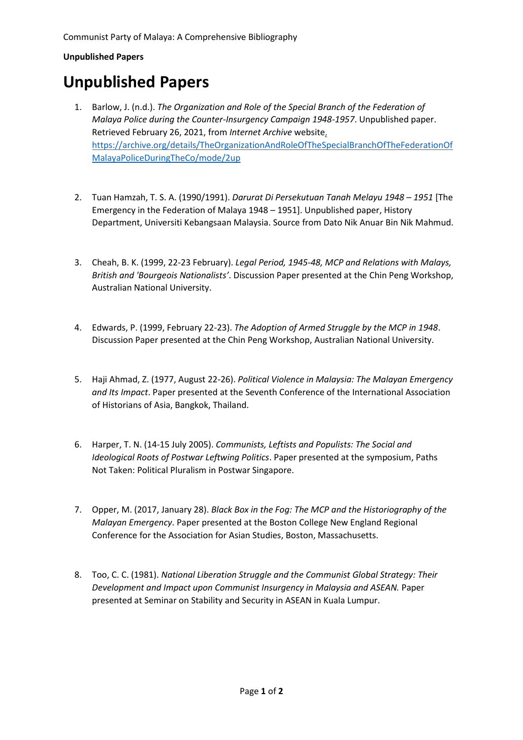## **Unpublished Papers**

## **Unpublished Papers**

- 1. Barlow, J. (n.d.). *The Organization and Role of the Special Branch of the Federation of Malaya Police during the Counter-Insurgency Campaign 1948-1957*. Unpublished paper. Retrieved February 26, 2021, from *Internet Archive* website, [https://archive.org/details/TheOrganizationAndRoleOfTheSpecialBranchOfTheFederationOf](https://archive.org/details/TheOrganizationAndRoleOfTheSpecialBranchOfTheFederationOfMalayaPoliceDuringTheCo/mode/2up) [MalayaPoliceDuringTheCo/mode/2up](https://archive.org/details/TheOrganizationAndRoleOfTheSpecialBranchOfTheFederationOfMalayaPoliceDuringTheCo/mode/2up)
- 2. Tuan Hamzah, T. S. A. (1990/1991). *Darurat Di Persekutuan Tanah Melayu 1948 – 1951* [The Emergency in the Federation of Malaya 1948 – 1951]. Unpublished paper, History Department, Universiti Kebangsaan Malaysia. Source from Dato Nik Anuar Bin Nik Mahmud.
- 3. Cheah, B. K. (1999, 22-23 February). *Legal Period, 1945-48, MCP and Relations with Malays, British and 'Bourgeois Nationalists'*. Discussion Paper presented at the Chin Peng Workshop, Australian National University.
- 4. Edwards, P. (1999, February 22-23). *The Adoption of Armed Struggle by the MCP in 1948*. Discussion Paper presented at the Chin Peng Workshop, Australian National University.
- 5. Haji Ahmad, Z. (1977, August 22-26). *Political Violence in Malaysia: The Malayan Emergency and Its Impact*. Paper presented at the Seventh Conference of the International Association of Historians of Asia, Bangkok, Thailand.
- 6. Harper, T. N. (14-15 July 2005). *Communists, Leftists and Populists: The Social and Ideological Roots of Postwar Leftwing Politics*. Paper presented at the symposium, Paths Not Taken: Political Pluralism in Postwar Singapore.
- 7. Opper, M. (2017, January 28). *Black Box in the Fog: The MCP and the Historiography of the Malayan Emergency*. Paper presented at the Boston College New England Regional Conference for the Association for Asian Studies, Boston, Massachusetts.
- 8. Too, C. C. (1981). *National Liberation Struggle and the Communist Global Strategy: Their Development and Impact upon Communist Insurgency in Malaysia and ASEAN.* Paper presented at Seminar on Stability and Security in ASEAN in Kuala Lumpur.